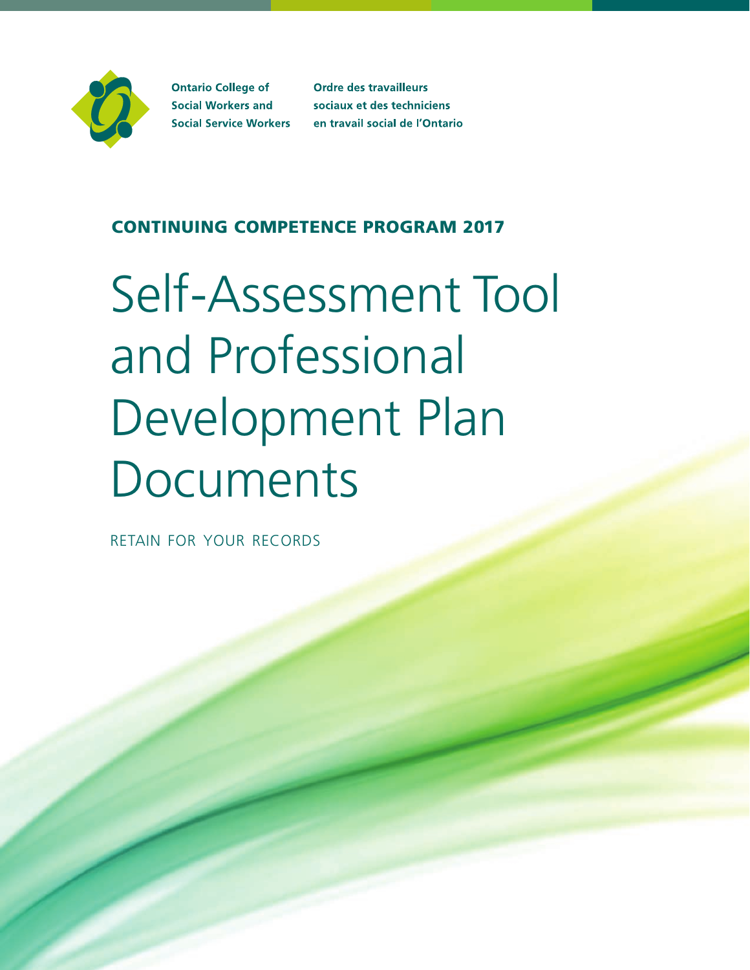

**Ontario College of Social Workers and Social Service Workers**  **Ordre des travailleurs** sociaux et des techniciens en travail social de l'Ontario

# CONTINUING COMPETENCE PROGRAM 2017

# Self-Assessment Tool and Professional Development Plan **Documents**

retain for your records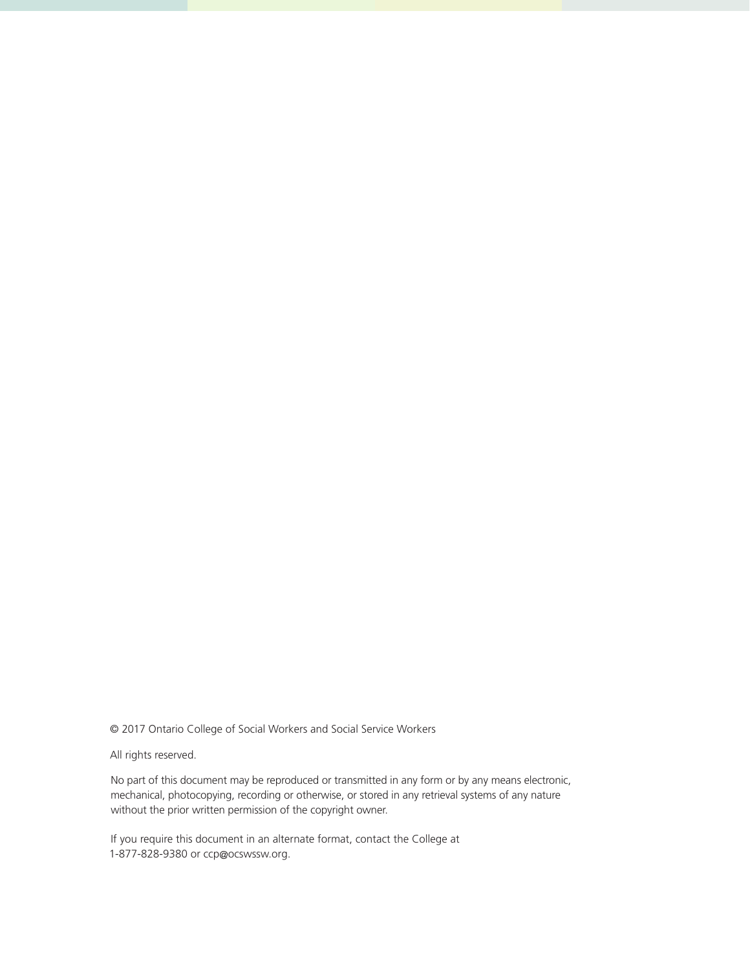© 2017 Ontario College of Social Workers and Social Service Workers

All rights reserved.

No part of this document may be reproduced or transmitted in any form or by any means electronic, mechanical, photocopying, recording or otherwise, or stored in any retrieval systems of any nature without the prior written permission of the copyright owner.

If you require this document in an alternate format, contact the College at 1-877-828-9380 or ccp@ocswssw.org.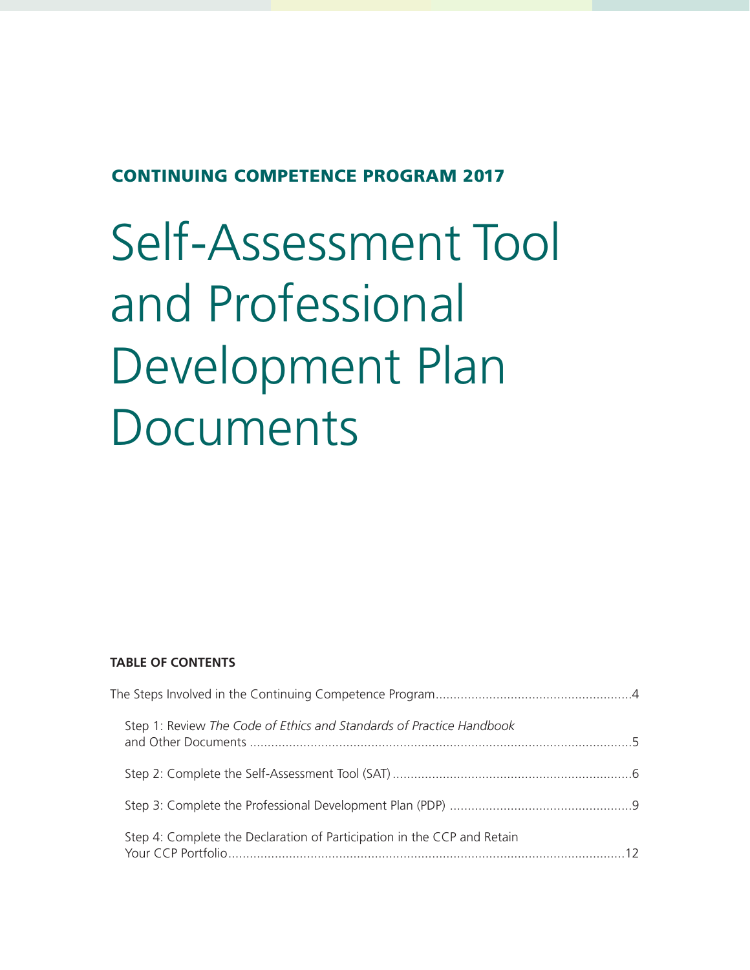## CONTINUING COMPETENCE PROGRAM 2017

# Self-Assessment Tool and Professional Development Plan Documents

#### **TABLE OF CONTENTS**

| Step 1: Review The Code of Ethics and Standards of Practice Handbook    |  |
|-------------------------------------------------------------------------|--|
|                                                                         |  |
|                                                                         |  |
| Step 4: Complete the Declaration of Participation in the CCP and Retain |  |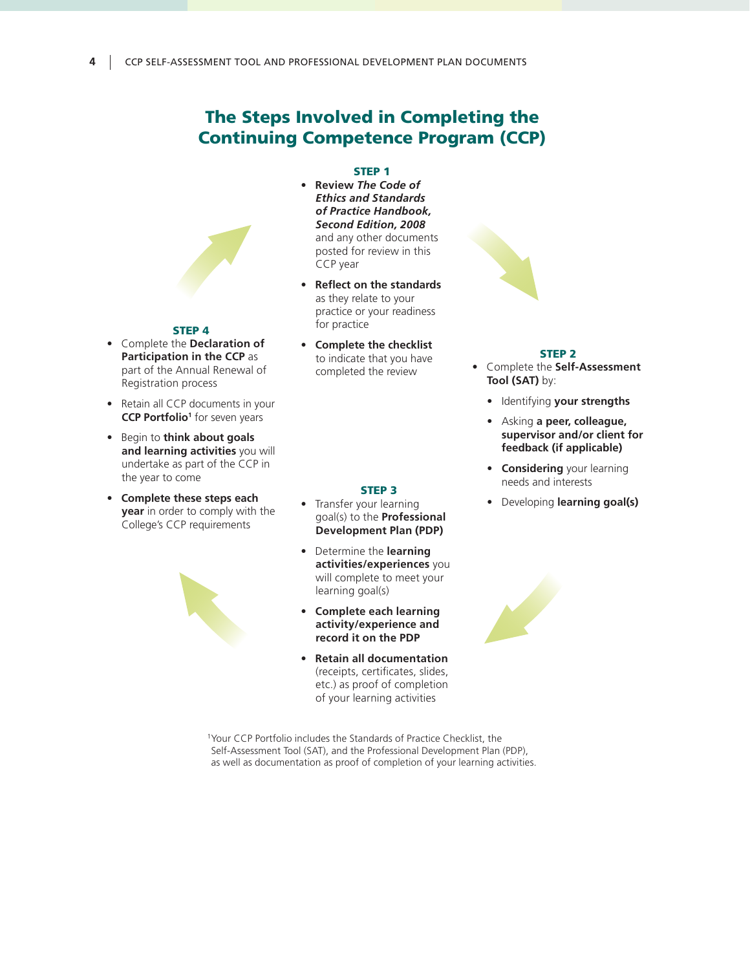## The Steps Involved in Completing the Continuing Competence Program (CCP)

#### STEP 1

- **Review** *The Code of Ethics and Standards of Practice Handbook, Second Edition, 2008* and any other documents posted for review in this CCP year
- **Reflect on the standards** as they relate to your practice or your readiness for practice
- **Complete the checklist** to indicate that you have completed the review

STEP 3 • Transfer your learning goal(s) to the **Professional Development Plan (PDP)** • Determine the **learning activities/experiences** you will complete to meet your

**• Complete each learning activity/experience and record it on the PDP**

**• Retain all documentation**  (receipts, certificates, slides, etc.) as proof of completion of your learning activities

learning goal(s)

#### STEP 2

- Complete the **Self-Assessment Tool (SAT)** by:
	- Identifying **your strengths**
	- Asking **a peer, colleague, supervisor and/or client for feedback (if applicable)**
	- **Considering** your learning needs and interests
	- Developing **learning goal(s)**



#### STEP 4

- Complete the **Declaration of Participation in the CCP** as part of the Annual Renewal of Registration process
- Retain all CCP documents in your **CCP Portfolio<sup>1</sup>** for seven years
- Begin to **think about goals and learning activities** you will undertake as part of the CCP in the year to come
- **Complete these steps each year** in order to comply with the College's CCP requirements



<sup>1</sup>Your CCP Portfolio includes the Standards of Practice Checklist, the Self-Assessment Tool (SAT), and the Professional Development Plan (PDP), as well as documentation as proof of completion of your learning activities.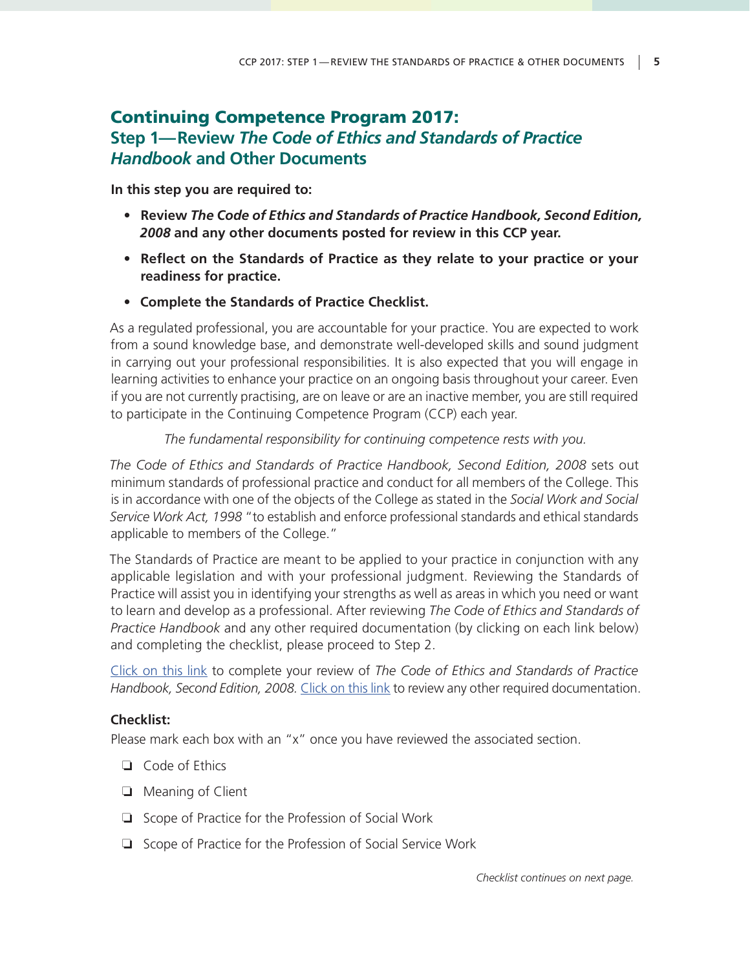# Continuing Competence Program 2017: **Step 1—Review** *The Code of Ethics and Standards of Practice Handbook* **and Other Documents**

**In this step you are required to:**

- **• Review** *The Code of Ethics and Standards of Practice Handbook, Second Edition, 2008* **and any other documents posted for review in this CCP year.**
- **• Reflect on the Standards of Practice as they relate to your practice or your readiness for practice.**
- **• Complete the Standards of Practice Checklist.**

As a regulated professional, you are accountable for your practice. You are expected to work from a sound knowledge base, and demonstrate well-developed skills and sound judgment in carrying out your professional responsibilities. It is also expected that you will engage in learning activities to enhance your practice on an ongoing basis throughout your career. Even if you are not currently practising, are on leave or are an inactive member, you are still required to participate in the Continuing Competence Program (CCP) each year.

#### *The fundamental responsibility for continuing competence rests with you.*

*The Code of Ethics and Standards of Practice Handbook, Second Edition, 2008* sets out minimum standards of professional practice and conduct for all members of the College. This is in accordance with one of the objects of the College as stated in the *Social Work and Social Service Work Act, 1998* "to establish and enforce professional standards and ethical standards applicable to members of the College."

The Standards of Practice are meant to be applied to your practice in conjunction with any applicable legislation and with your professional judgment. Reviewing the Standards of Practice will assist you in identifying your strengths as well as areas in which you need or want to learn and develop as a professional. After reviewing *The Code of Ethics and Standards of Practice Handbook* and any other required documentation (by clicking on each link below) and completing the checklist, please proceed to Step 2.

[Click on this link](http://www.ocswssw.org/professional-practice/code-of-ethics/) to complete your review of *The Code of Ethics and Standards of Practice Handbook, Second Edition, 2008.* [Click on this link](http://www.ocswssw.org/wp-content/uploads/2016/09/Medical-Assistance-in-Dying-What-Are-My-Professional-Obligations.pdf) to review any other required documentation.

#### **Checklist:**

Please mark each box with an "x" once you have reviewed the associated section.

- ❏ Code of Ethics
- ❏ Meaning of Client
- ❏ Scope of Practice for the Profession of Social Work
- ❏ Scope of Practice for the Profession of Social Service Work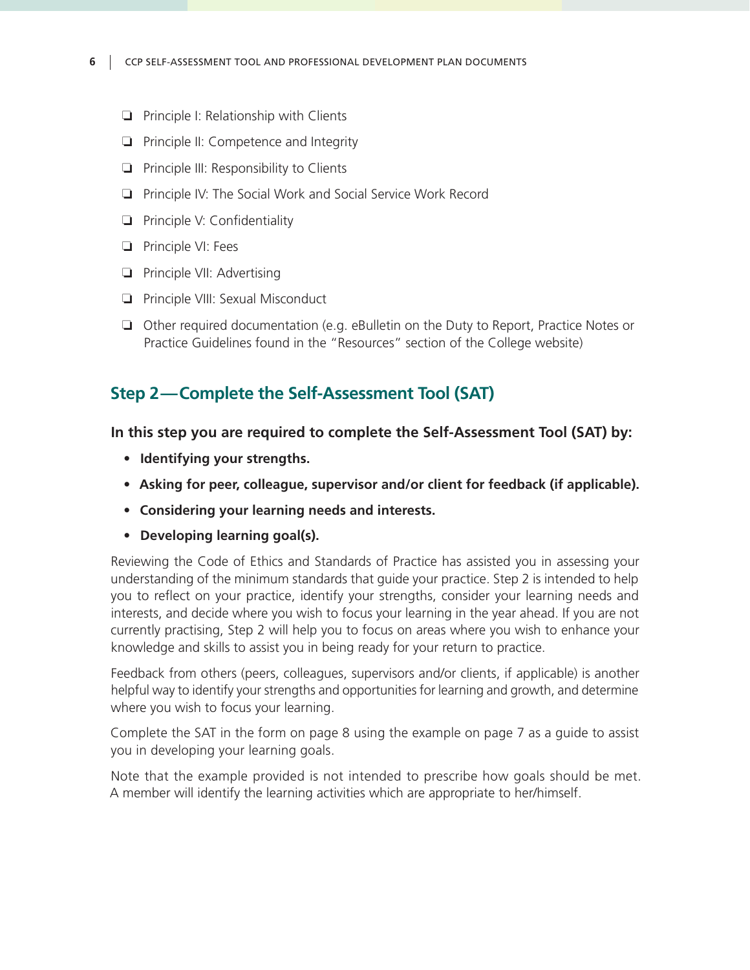#### **6** CCP SELF-ASSESSMENT TOOL AND PROFESSIONAL DEVELOPMENT PLAN DOCUMENTS

- ❏ Principle I: Relationship with Clients
- ❏ Principle II: Competence and Integrity
- ❏ Principle III: Responsibility to Clients
- ❏ Principle IV: The Social Work and Social Service Work Record
- ❏ Principle V: Confidentiality
- ❏ Principle VI: Fees
- ❏ Principle VII: Advertising
- ❏ Principle VIII: Sexual Misconduct
- ❏ Other required documentation (e.g. eBulletin on the Duty to Report, Practice Notes or Practice Guidelines found in the "Resources" section of the College website)

### **Step 2—Complete the Self-Assessment Tool (SAT)**

#### **In this step you are required to complete the Self-Assessment Tool (SAT) by:**

- **• Identifying your strengths.**
- **• Asking for peer, colleague, supervisor and/or client for feedback (if applicable).**
- **• Considering your learning needs and interests.**
- **• Developing learning goal(s).**

Reviewing the Code of Ethics and Standards of Practice has assisted you in assessing your understanding of the minimum standards that guide your practice. Step 2 is intended to help you to reflect on your practice, identify your strengths, consider your learning needs and interests, and decide where you wish to focus your learning in the year ahead. If you are not currently practising, Step 2 will help you to focus on areas where you wish to enhance your knowledge and skills to assist you in being ready for your return to practice.

Feedback from others (peers, colleagues, supervisors and/or clients, if applicable) is another helpful way to identify your strengths and opportunities for learning and growth, and determine where you wish to focus your learning.

Complete the SAT in the form on page 8 using the example on page 7 as a guide to assist you in developing your learning goals.

Note that the example provided is not intended to prescribe how goals should be met. A member will identify the learning activities which are appropriate to her/himself.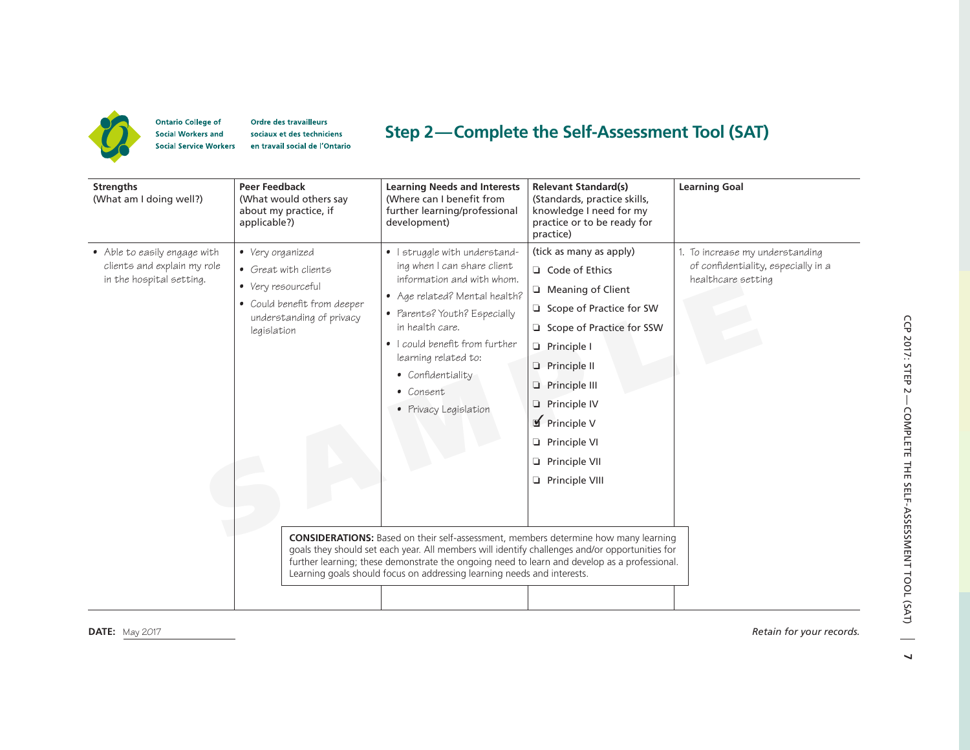

**Ontario College of** Ordre des travailleurs **Social Workers and** sociaux et des techniciens **Social Service Workers** en travail social de l'Ontario

## **Step 2 —Complete the Self-Assessment Tool (SAT)**

| <b>Strengths</b><br>(What am I doing well?)                                             | <b>Peer Feedback</b><br>(What would others say<br>about my practice, if<br>applicable?)                                                  | <b>Learning Needs and Interests</b><br>(Where can I benefit from<br>further learning/professional<br>development)                                                                                                                                                                                                                                                       | <b>Relevant Standard(s)</b><br>(Standards, practice skills,<br>knowledge I need for my<br>practice or to be ready for<br>practice)                                                                                                                                 | <b>Learning Goal</b>                                                                         |
|-----------------------------------------------------------------------------------------|------------------------------------------------------------------------------------------------------------------------------------------|-------------------------------------------------------------------------------------------------------------------------------------------------------------------------------------------------------------------------------------------------------------------------------------------------------------------------------------------------------------------------|--------------------------------------------------------------------------------------------------------------------------------------------------------------------------------------------------------------------------------------------------------------------|----------------------------------------------------------------------------------------------|
| • Able to easily engage with<br>clients and explain my role<br>in the hospital setting. | • Very organized<br>• Great with clients<br>• Very resourceful<br>• Could benefit from deeper<br>understanding of privacy<br>legislation | • I struggle with understand-<br>ing when I can share client<br>information and with whom.<br>• Age related? Mental health?<br>• Parents? Youth? Especially<br>in health care.<br>• I could benefit from further<br>learning related to:<br>• Confidentiality<br>• Consent<br>• Privacy Legislation                                                                     | (tick as many as apply)<br>Code of Ethics<br>Meaning of Client<br>Scope of Practice for SW<br>Scope of Practice for SSW<br>Principle I<br><b>D</b> Principle II<br>Principle III<br>Principle IV<br>Principle V<br>Principle VI<br>Principle VII<br>Principle VIII | 1. To increase my understanding<br>of confidentiality, especially in a<br>healthcare setting |
|                                                                                         |                                                                                                                                          | <b>CONSIDERATIONS:</b> Based on their self-assessment, members determine how many learning<br>goals they should set each year. All members will identify challenges and/or opportunities for<br>further learning; these demonstrate the ongoing need to learn and develop as a professional.<br>Learning goals should focus on addressing learning needs and interests. |                                                                                                                                                                                                                                                                    |                                                                                              |

**DATE:** May 2017 *Retain for your records.*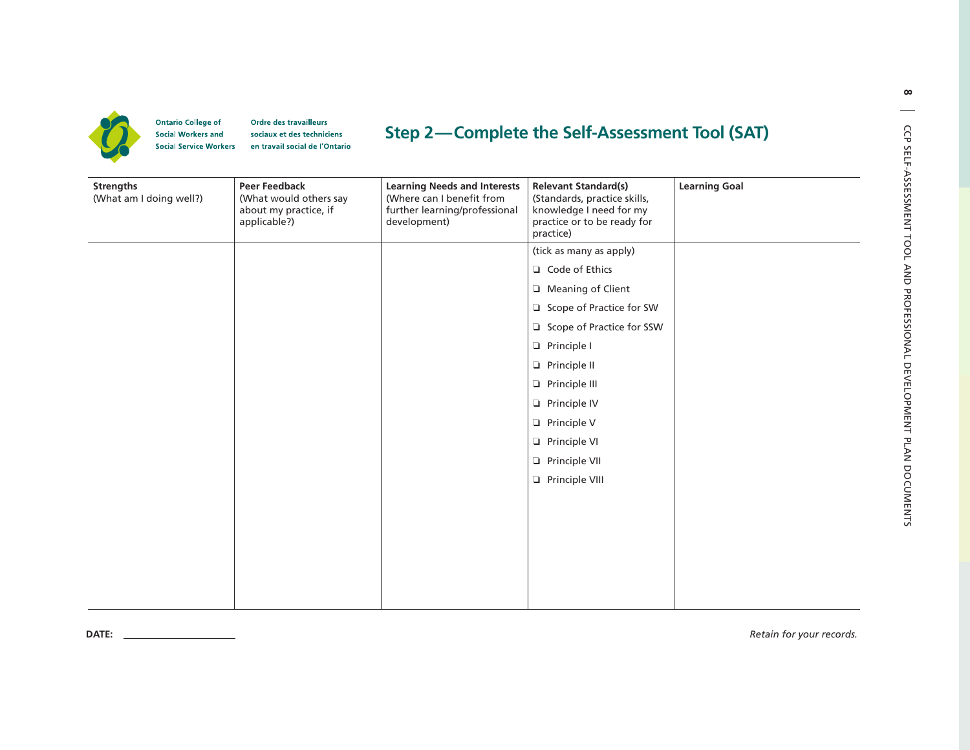

**DATE:**

**Ontario College of** Ordre des travailleurs **Social Workers and** sociaux et des techniciens **Social Service Workers** en travail social de l'Ontario

# **Step 2—Complete the Self-Assessment Tool (SAT)**

| <b>Strengths</b><br>(What am I doing well?) | <b>Peer Feedback</b><br>(What would others say<br>about my practice, if<br>applicable?) | <b>Learning Needs and Interests</b><br>(Where can I benefit from<br>further learning/professional<br>development) | <b>Relevant Standard(s)</b><br>(Standards, practice skills,<br>knowledge I need for my<br>practice or to be ready for<br>practice) | <b>Learning Goal</b> |
|---------------------------------------------|-----------------------------------------------------------------------------------------|-------------------------------------------------------------------------------------------------------------------|------------------------------------------------------------------------------------------------------------------------------------|----------------------|
|                                             |                                                                                         |                                                                                                                   | (tick as many as apply)                                                                                                            |                      |
|                                             |                                                                                         |                                                                                                                   | Code of Ethics                                                                                                                     |                      |
|                                             |                                                                                         |                                                                                                                   | Meaning of Client                                                                                                                  |                      |
|                                             |                                                                                         |                                                                                                                   | Scope of Practice for SW                                                                                                           |                      |
|                                             |                                                                                         |                                                                                                                   | Scope of Practice for SSW                                                                                                          |                      |
|                                             |                                                                                         |                                                                                                                   | Principle I                                                                                                                        |                      |
|                                             |                                                                                         |                                                                                                                   | Principle II                                                                                                                       |                      |
|                                             |                                                                                         |                                                                                                                   | Principle III                                                                                                                      |                      |
|                                             |                                                                                         |                                                                                                                   | Principle IV                                                                                                                       |                      |
|                                             |                                                                                         |                                                                                                                   | Principle V                                                                                                                        |                      |
|                                             |                                                                                         |                                                                                                                   | Principle VI                                                                                                                       |                      |
|                                             |                                                                                         |                                                                                                                   | Principle VII                                                                                                                      |                      |
|                                             |                                                                                         |                                                                                                                   | Principle VIII                                                                                                                     |                      |
|                                             |                                                                                         |                                                                                                                   |                                                                                                                                    |                      |
|                                             |                                                                                         |                                                                                                                   |                                                                                                                                    |                      |
|                                             |                                                                                         |                                                                                                                   |                                                                                                                                    |                      |
|                                             |                                                                                         |                                                                                                                   |                                                                                                                                    |                      |
|                                             |                                                                                         |                                                                                                                   |                                                                                                                                    |                      |
|                                             |                                                                                         |                                                                                                                   |                                                                                                                                    |                      |

**8**

*Retain for your records.*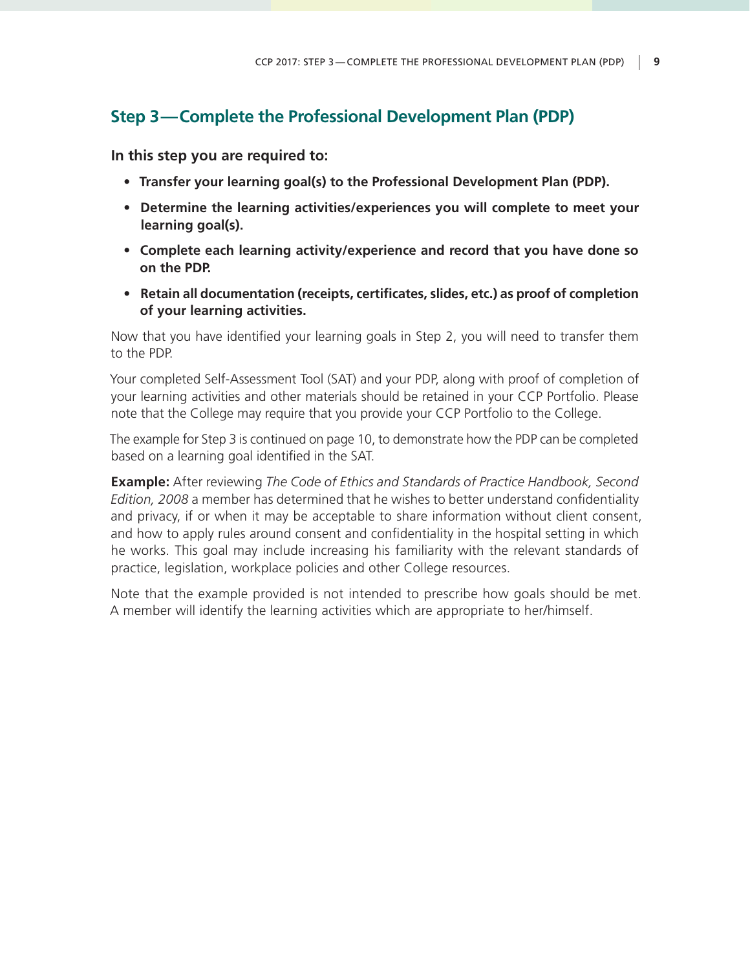# **Step 3—Complete the Professional Development Plan (PDP)**

**In this step you are required to:**

- **• Transfer your learning goal(s) to the Professional Development Plan (PDP).**
- **• Determine the learning activities/experiences you will complete to meet your learning goal(s).**
- **• Complete each learning activity/experience and record that you have done so on the PDP.**
- **• Retain all documentation (receipts, certificates, slides, etc.) as proof of completion of your learning activities.**

Now that you have identified your learning goals in Step 2, you will need to transfer them to the PDP.

Your completed Self-Assessment Tool (SAT) and your PDP, along with proof of completion of your learning activities and other materials should be retained in your CCP Portfolio. Please note that the College may require that you provide your CCP Portfolio to the College.

The example for Step 3 is continued on page 10, to demonstrate how the PDP can be completed based on a learning goal identified in the SAT.

**Example:** After reviewing *The Code of Ethics and Standards of Practice Handbook, Second Edition, 2008* a member has determined that he wishes to better understand confidentiality and privacy, if or when it may be acceptable to share information without client consent, and how to apply rules around consent and confidentiality in the hospital setting in which he works. This goal may include increasing his familiarity with the relevant standards of practice, legislation, workplace policies and other College resources.

Note that the example provided is not intended to prescribe how goals should be met. A member will identify the learning activities which are appropriate to her/himself.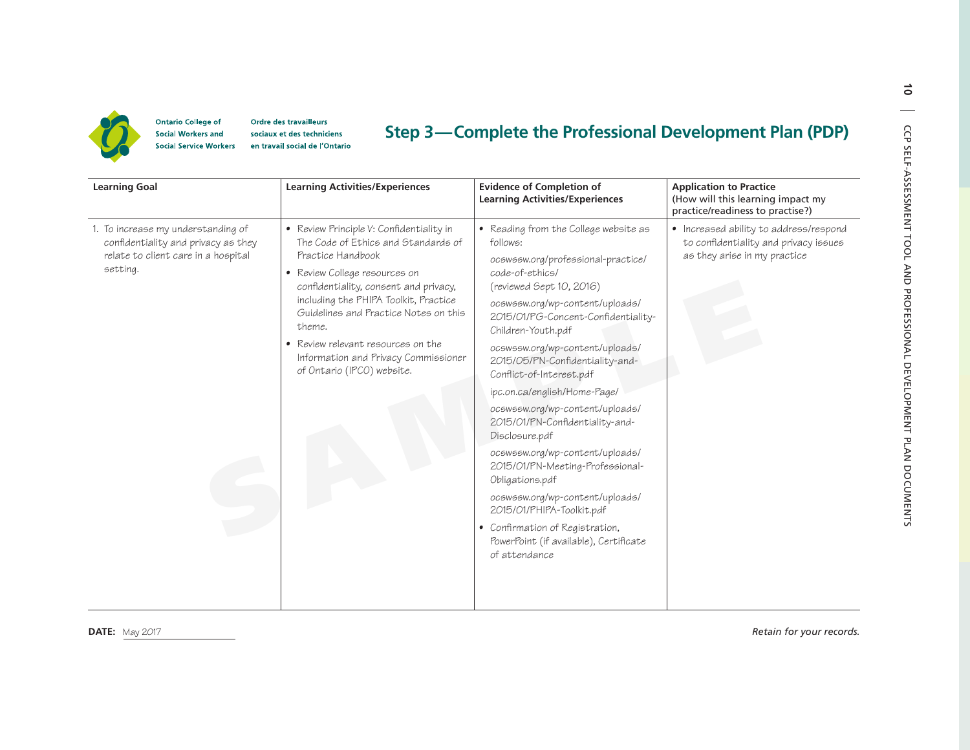

**Ontario College of** Ordre des travailleurs **Social Workers and** sociaux et des techniciens **Social Service Workers** en travail social de l'Ontario

## **Step 3 —Complete the Professional Development Plan (PDP)**

| <b>Learning Goal</b>                                                                                                         | <b>Learning Activities/Experiences</b>                                                                                                                                                                                                                                                                                                                                                 | <b>Evidence of Completion of</b><br><b>Learning Activities/Experiences</b>                                                                                                                                                                                                                                                                                                                                                                                                                                                                                                                                                                                                                                               | <b>Application to Practice</b><br>(How will this learning impact my<br>practice/readiness to practise?)         |
|------------------------------------------------------------------------------------------------------------------------------|----------------------------------------------------------------------------------------------------------------------------------------------------------------------------------------------------------------------------------------------------------------------------------------------------------------------------------------------------------------------------------------|--------------------------------------------------------------------------------------------------------------------------------------------------------------------------------------------------------------------------------------------------------------------------------------------------------------------------------------------------------------------------------------------------------------------------------------------------------------------------------------------------------------------------------------------------------------------------------------------------------------------------------------------------------------------------------------------------------------------------|-----------------------------------------------------------------------------------------------------------------|
| 1. To increase my understanding of<br>confidentiality and privacy as they<br>relate to client care in a hospital<br>setting. | • Review Principle V: Confidentiality in<br>The Code of Ethics and Standards of<br>Practice Handbook<br>• Review College resources on<br>confidentiality, consent and privacy,<br>including the PHIPA Toolkit, Practice<br>Guidelines and Practice Notes on this<br>theme.<br>• Review relevant resources on the<br>Information and Privacy Commissioner<br>of Ontario (IPCO) website. | • Reading from the College website as<br>follows:<br>ocswssw.org/professional-practice/<br>code-of-ethics/<br>(reviewed Sept 10, 2016)<br>ocswssw.org/wp-content/uploads/<br>2015/01/PG-Concent-Confidentiality-<br>Children-Youth.pdf<br>ocswssw.org/wp-content/uploads/<br>2015/05/PN-Confidentiality-and-<br>Conflict-of-Interest.pdf<br>ipc.on.ca/english/Home-Page/<br>ocswssw.org/wp-content/uploads/<br>2015/01/PN-Confidentiality-and-<br>Disclosure.pdf<br>ocswssw.org/wp-content/uploads/<br>2015/01/PN-Meeting-Professional-<br>Obligations.pdf<br>ocswssw.org/wp-content/uploads/<br>2015/01/PHIPA-Toolkit.pdf<br>• Confirmation of Registration,<br>PowerPoint (if available), Certificate<br>of attendance | • Increased ability to address/respond<br>to confidentiality and privacy issues<br>as they arise in my practice |

 $\vec{\bullet}$ 

**DATE:** May 2017 *Retain for your records.*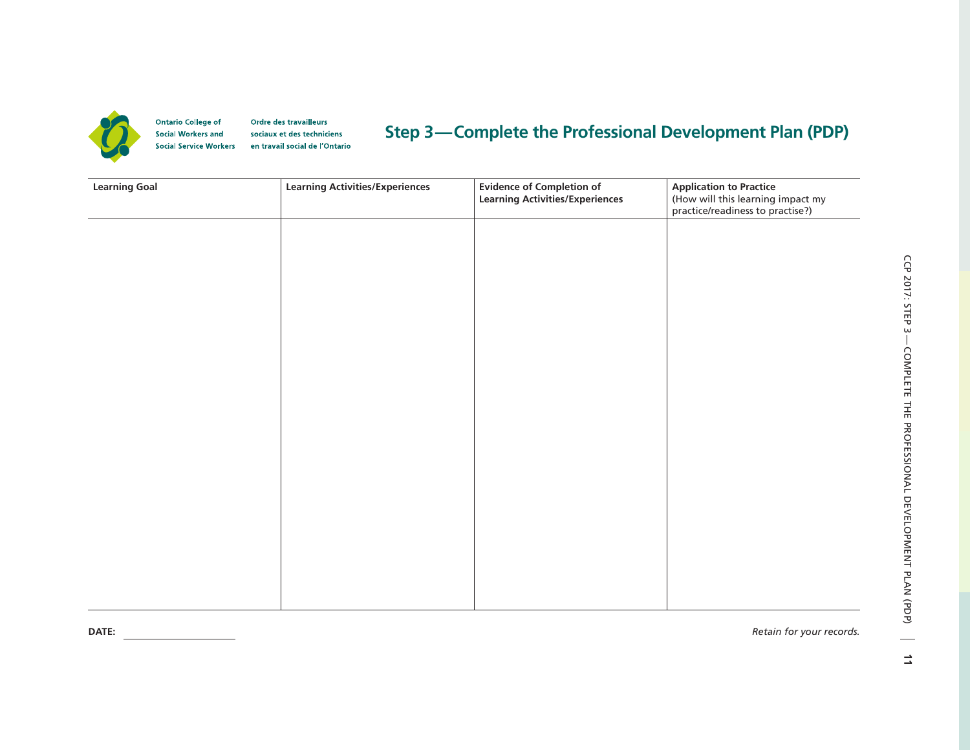

**Ontario College of** Ordre des travailleurs **Social Workers and** sociaux et des techniciens **Social Service Workers** en travail social de l'Ontario

# **Step 3—Complete the Professional Development Plan (PDP)**

| <b>Learning Goal</b> | <b>Learning Activities/Experiences</b> | Evidence of Completion of<br>Learning Activities/Experiences | <b>Application to Practice</b><br>(How will this learning impact my<br>practice/readiness to practise?) |  |
|----------------------|----------------------------------------|--------------------------------------------------------------|---------------------------------------------------------------------------------------------------------|--|
|                      |                                        |                                                              |                                                                                                         |  |
|                      |                                        |                                                              |                                                                                                         |  |
|                      |                                        |                                                              |                                                                                                         |  |
|                      |                                        |                                                              |                                                                                                         |  |
|                      |                                        |                                                              |                                                                                                         |  |
|                      |                                        |                                                              |                                                                                                         |  |
|                      |                                        |                                                              |                                                                                                         |  |
|                      |                                        |                                                              |                                                                                                         |  |
|                      |                                        |                                                              |                                                                                                         |  |
|                      |                                        |                                                              |                                                                                                         |  |
|                      |                                        |                                                              |                                                                                                         |  |
|                      |                                        |                                                              |                                                                                                         |  |
|                      |                                        |                                                              |                                                                                                         |  |
|                      |                                        |                                                              |                                                                                                         |  |
|                      |                                        |                                                              |                                                                                                         |  |
|                      |                                        |                                                              |                                                                                                         |  |
|                      |                                        |                                                              |                                                                                                         |  |
|                      |                                        |                                                              |                                                                                                         |  |
| DATE:                |                                        |                                                              | Retain for your records.                                                                                |  |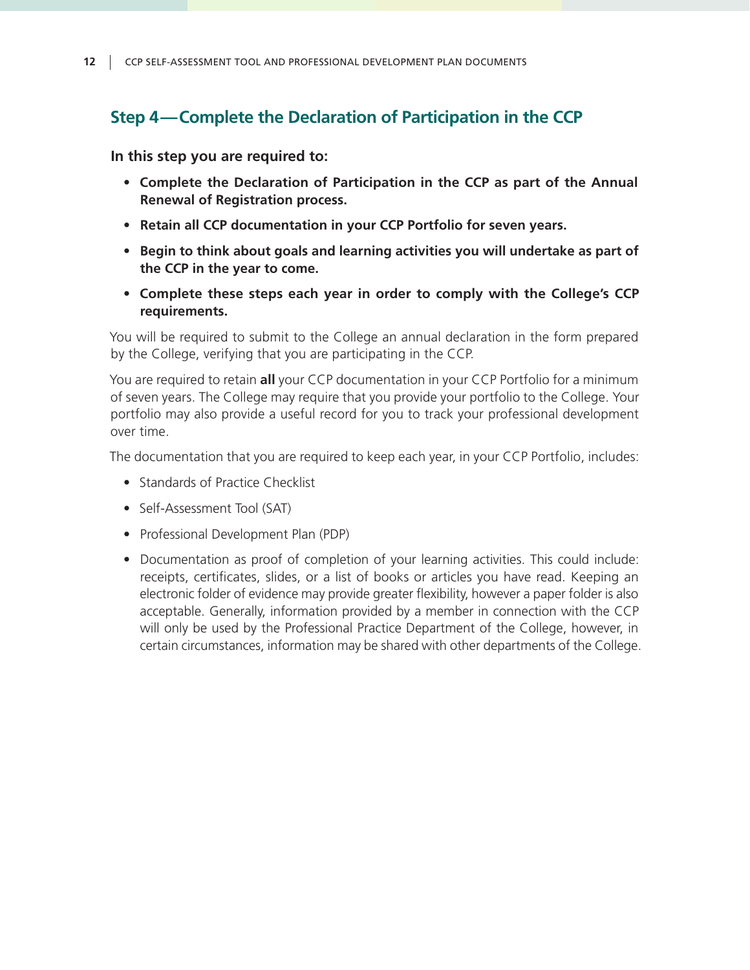# **Step 4—Complete the Declaration of Participation in the CCP**

**In this step you are required to:**

- **• Complete the Declaration of Participation in the CCP as part of the Annual Renewal of Registration process.**
- **• Retain all CCP documentation in your CCP Portfolio for seven years.**
- **• Begin to think about goals and learning activities you will undertake as part of the CCP in the year to come.**
- **• Complete these steps each year in order to comply with the College's CCP requirements.**

You will be required to submit to the College an annual declaration in the form prepared by the College, verifying that you are participating in the CCP.

You are required to retain **all** your CCP documentation in your CCP Portfolio for a minimum of seven years. The College may require that you provide your portfolio to the College. Your portfolio may also provide a useful record for you to track your professional development over time.

The documentation that you are required to keep each year, in your CCP Portfolio, includes:

- Standards of Practice Checklist
- Self-Assessment Tool (SAT)
- Professional Development Plan (PDP)
- Documentation as proof of completion of your learning activities. This could include: receipts, certificates, slides, or a list of books or articles you have read. Keeping an electronic folder of evidence may provide greater flexibility, however a paper folder is also acceptable. Generally, information provided by a member in connection with the CCP will only be used by the Professional Practice Department of the College, however, in certain circumstances, information may be shared with other departments of the College.